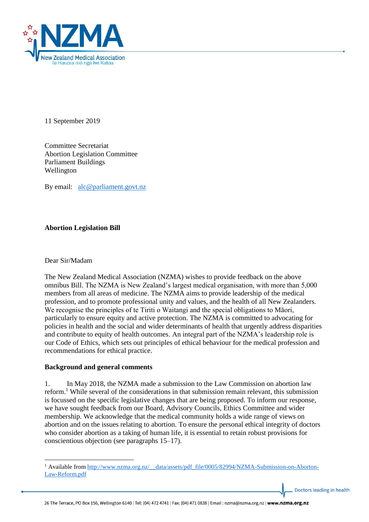

11 September 2019

Committee Secretariat Abortion Legislation Committee Parliament Buildings Wellington

By email: [alc@parliament.govt.nz](mailto:alc@parliament.govt.nz)

## **Abortion Legislation Bill**

#### Dear Sir/Madam

1

The New Zealand Medical Association (NZMA) wishes to provide feedback on the above omnibus Bill. The NZMA is New Zealand's largest medical organisation, with more than 5,000 members from all areas of medicine. The NZMA aims to provide leadership of the medical profession, and to promote professional unity and values, and the health of all New Zealanders. We recognise the principles of te Tiriti o Waitangi and the special obligations to Māori, particularly to ensure equity and active protection. The NZMA is committed to advocating for policies in health and the social and wider determinants of health that urgently address disparities and contribute to equity of health outcomes. An integral part of the NZMA's leadership role is our Code of Ethics, which sets out principles of ethical behaviour for the medical profession and recommendations for ethical practice.

#### **Background and general comments**

1. In May 2018, the NZMA made a submission to the Law Commission on abortion law reform.<sup>1</sup> While several of the considerations in that submission remain relevant, this submission is focussed on the specific legislative changes that are being proposed. To inform our response, we have sought feedback from our Board, Advisory Councils, Ethics Committee and wider membership. We acknowledge that the medical community holds a wide range of views on abortion and on the issues relating to abortion. To ensure the personal ethical integrity of doctors who consider abortion as a taking of human life, it is essential to retain robust provisions for conscientious objection (see paragraphs 15–17).

<sup>&</sup>lt;sup>1</sup> Available from [http://www.nzma.org.nz/\\_\\_data/assets/pdf\\_file/0005/82994/NZMA-Submission-on-Aborton-](http://www.nzma.org.nz/__data/assets/pdf_file/0005/82994/NZMA-Submission-on-Aborton-Law-Reform.pdf)[Law-Reform.pdf](http://www.nzma.org.nz/__data/assets/pdf_file/0005/82994/NZMA-Submission-on-Aborton-Law-Reform.pdf)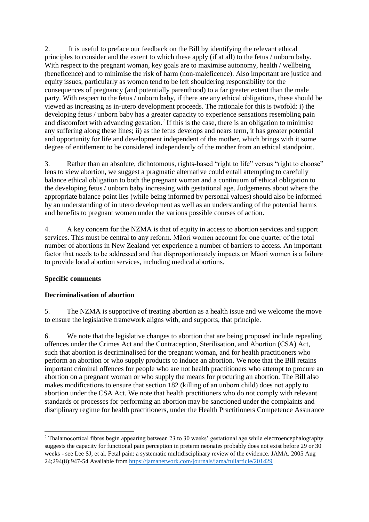2. It is useful to preface our feedback on the Bill by identifying the relevant ethical principles to consider and the extent to which these apply (if at all) to the fetus / unborn baby. With respect to the pregnant woman, key goals are to maximise autonomy, health / wellbeing (beneficence) and to minimise the risk of harm (non-maleficence). Also important are justice and equity issues, particularly as women tend to be left shouldering responsibility for the consequences of pregnancy (and potentially parenthood) to a far greater extent than the male party. With respect to the fetus / unborn baby, if there are any ethical obligations, these should be viewed as increasing as in-utero development proceeds. The rationale for this is twofold: i) the developing fetus / unborn baby has a greater capacity to experience sensations resembling pain and discomfort with advancing gestation. 2 If this is the case, there is an obligation to minimise any suffering along these lines; ii) as the fetus develops and nears term, it has greater potential and opportunity for life and development independent of the mother, which brings with it some degree of entitlement to be considered independently of the mother from an ethical standpoint.

3. Rather than an absolute, dichotomous, rights-based "right to life" versus "right to choose" lens to view abortion, we suggest a pragmatic alternative could entail attempting to carefully balance ethical obligation to both the pregnant woman and a continuum of ethical obligation to the developing fetus / unborn baby increasing with gestational age. Judgements about where the appropriate balance point lies (while being informed by personal values) should also be informed by an understanding of in utero development as well as an understanding of the potential harms and benefits to pregnant women under the various possible courses of action.

4. A key concern for the NZMA is that of equity in access to abortion services and support services. This must be central to any reform. Māori women account for one quarter of the total number of abortions in New Zealand yet experience a number of barriers to access. An important factor that needs to be addressed and that disproportionately impacts on Māori women is a failure to provide local abortion services, including medical abortions.

#### **Specific comments**

### **Decriminalisation of abortion**

5. The NZMA is supportive of treating abortion as a health issue and we welcome the move to ensure the legislative framework aligns with, and supports, that principle.

6. We note that the legislative changes to abortion that are being proposed include repealing offences under the Crimes Act and the Contraception, Sterilisation, and Abortion (CSA) Act, such that abortion is decriminalised for the pregnant woman, and for health practitioners who perform an abortion or who supply products to induce an abortion. We note that the Bill retains important criminal offences for people who are not health practitioners who attempt to procure an abortion on a pregnant woman or who supply the means for procuring an abortion. The Bill also makes modifications to ensure that section 182 (killing of an unborn child) does not apply to abortion under the CSA Act. We note that health practitioners who do not comply with relevant standards or processes for performing an abortion may be sanctioned under the complaints and disciplinary regime for health practitioners, under the Health Practitioners Competence Assurance

<sup>1</sup> <sup>2</sup> Thalamocortical fibres begin appearing between 23 to 30 weeks' gestational age while electroencephalography suggests the capacity for functional pain perception in preterm neonates probably does not exist before 29 or 30 weeks - see Lee SJ, et al. Fetal pain: a systematic multidisciplinary review of the evidence. JAMA. 2005 Aug 24;294(8):947-54 Available from<https://jamanetwork.com/journals/jama/fullarticle/201429>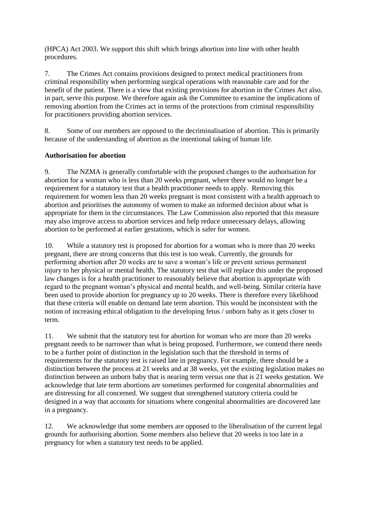(HPCA) Act 2003. We support this shift which brings abortion into line with other health procedures.

7. The Crimes Act contains provisions designed to protect medical practitioners from criminal responsibility when performing surgical operations with reasonable care and for the benefit of the patient. There is a view that existing provisions for abortion in the Crimes Act also, in part, serve this purpose. We therefore again ask the Committee to examine the implications of removing abortion from the Crimes act in terms of the protections from criminal responsibility for practitioners providing abortion services.

8. Some of our members are opposed to the decriminalisation of abortion. This is primarily because of the understanding of abortion as the intentional taking of human life.

## **Authorisation for abortion**

9. The NZMA is generally comfortable with the proposed changes to the authorisation for abortion for a woman who is less than 20 weeks pregnant, where there would no longer be a requirement for a statutory test that a health practitioner needs to apply. Removing this requirement for women less than 20 weeks pregnant is most consistent with a health approach to abortion and prioritises the autonomy of women to make an informed decision about what is appropriate for them in the circumstances. The Law Commission also reported that this measure may also improve access to abortion services and help reduce unnecessary delays, allowing abortion to be performed at earlier gestations, which is safer for women.

10. While a statutory test is proposed for abortion for a woman who is more than 20 weeks pregnant, there are strong concerns that this test is too weak. Currently, the grounds for performing abortion after 20 weeks are to save a woman's life or prevent serious permanent injury to her physical or mental health. The statutory test that will replace this under the proposed law changes is for a health practitioner to reasonably believe that abortion is appropriate with regard to the pregnant woman's physical and mental health, and well-being. Similar criteria have been used to provide abortion for pregnancy up to 20 weeks. There is therefore every likelihood that these criteria will enable on demand late term abortion. This would be inconsistent with the notion of increasing ethical obligation to the developing fetus / unborn baby as it gets closer to term.

11. We submit that the statutory test for abortion for woman who are more than 20 weeks pregnant needs to be narrower than what is being proposed. Furthermore, we contend there needs to be a further point of distinction in the legislation such that the threshold in terms of requirements for the statutory test is raised late in pregnancy. For example, there should be a distinction between the process at 21 weeks and at 38 weeks, yet the existing legislation makes no distinction between an unborn baby that is nearing term versus one that is 21 weeks gestation. We acknowledge that late term abortions are sometimes performed for congenital abnormalities and are distressing for all concerned. We suggest that strengthened statutory criteria could be designed in a way that accounts for situations where congenital abnormalities are discovered late in a pregnancy.

12. We acknowledge that some members are opposed to the liberalisation of the current legal grounds for authorising abortion. Some members also believe that 20 weeks is too late in a pregnancy for when a statutory test needs to be applied.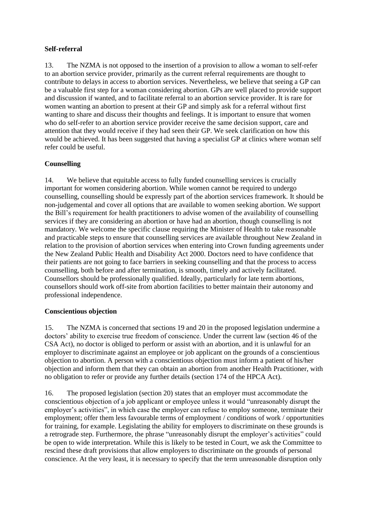## **Self-referral**

13. The NZMA is not opposed to the insertion of a provision to allow a woman to self-refer to an abortion service provider, primarily as the current referral requirements are thought to contribute to delays in access to abortion services. Nevertheless, we believe that seeing a GP can be a valuable first step for a woman considering abortion. GPs are well placed to provide support and discussion if wanted, and to facilitate referral to an abortion service provider. It is rare for women wanting an abortion to present at their GP and simply ask for a referral without first wanting to share and discuss their thoughts and feelings. It is important to ensure that women who do self-refer to an abortion service provider receive the same decision support, care and attention that they would receive if they had seen their GP. We seek clarification on how this would be achieved. It has been suggested that having a specialist GP at clinics where woman self refer could be useful.

# **Counselling**

14. We believe that equitable access to fully funded counselling services is crucially important for women considering abortion. While women cannot be required to undergo counselling, counselling should be expressly part of the abortion services framework. It should be non-judgemental and cover all options that are available to women seeking abortion. We support the Bill's requirement for health practitioners to advise women of the availability of counselling services if they are considering an abortion or have had an abortion, though counselling is not mandatory. We welcome the specific clause requiring the Minister of Health to take reasonable and practicable steps to ensure that counselling services are available throughout New Zealand in relation to the provision of abortion services when entering into Crown funding agreements under the New Zealand Public Health and Disability Act 2000. Doctors need to have confidence that their patients are not going to face barriers in seeking counselling and that the process to access counselling, both before and after termination, is smooth, timely and actively facilitated. Counsellors should be professionally qualified. Ideally, particularly for late term abortions, counsellors should work off-site from abortion facilities to better maintain their autonomy and professional independence.

#### **Conscientious objection**

15. The NZMA is concerned that sections 19 and 20 in the proposed legislation undermine a doctors' ability to exercise true freedom of conscience. Under the current law (section 46 of the CSA Act), no doctor is obliged to perform or assist with an abortion, and it is unlawful for an employer to discriminate against an employee or job applicant on the grounds of a conscientious objection to abortion. A person with a conscientious objection must inform a patient of his/her objection and inform them that they can obtain an abortion from another Health Practitioner, with no obligation to refer or provide any further details (section 174 of the HPCA Act).

16. The proposed legislation (section 20) states that an employer must accommodate the conscientious objection of a job applicant or employee unless it would "unreasonably disrupt the employer's activities", in which case the employer can refuse to employ someone, terminate their employment; offer them less favourable terms of employment / conditions of work / opportunities for training, for example. Legislating the ability for employers to discriminate on these grounds is a retrograde step. Furthermore, the phrase "unreasonably disrupt the employer's activities" could be open to wide interpretation. While this is likely to be tested in Court, we ask the Committee to rescind these draft provisions that allow employers to discriminate on the grounds of personal conscience. At the very least, it is necessary to specify that the term unreasonable disruption only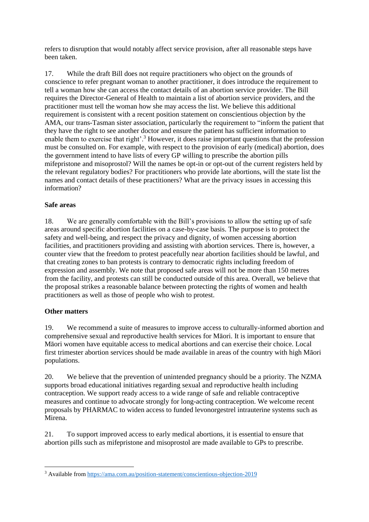refers to disruption that would notably affect service provision, after all reasonable steps have been taken.

17. While the draft Bill does not require practitioners who object on the grounds of conscience to refer pregnant woman to another practitioner, it does introduce the requirement to tell a woman how she can access the contact details of an abortion service provider. The Bill requires the Director-General of Health to maintain a list of abortion service providers, and the practitioner must tell the woman how she may access the list. We believe this additional requirement is consistent with a recent position statement on conscientious objection by the AMA, our trans-Tasman sister association, particularly the requirement to "inform the patient that they have the right to see another doctor and ensure the patient has sufficient information to enable them to exercise that right'.<sup>3</sup> However, it does raise important questions that the profession must be consulted on. For example, with respect to the provision of early (medical) abortion, does the government intend to have lists of every GP willing to prescribe the abortion pills mifepristone and misoprostol? Will the names be opt-in or opt-out of the current registers held by the relevant regulatory bodies? For practitioners who provide late abortions, will the state list the names and contact details of these practitioners? What are the privacy issues in accessing this information?

## **Safe areas**

18. We are generally comfortable with the Bill's provisions to allow the setting up of safe areas around specific abortion facilities on a case-by-case basis. The purpose is to protect the safety and well-being, and respect the privacy and dignity, of women accessing abortion facilities, and practitioners providing and assisting with abortion services. There is, however, a counter view that the freedom to protest peacefully near abortion facilities should be lawful, and that creating zones to ban protests is contrary to democratic rights including freedom of expression and assembly. We note that proposed safe areas will not be more than 150 metres from the facility, and protests can still be conducted outside of this area. Overall, we believe that the proposal strikes a reasonable balance between protecting the rights of women and health practitioners as well as those of people who wish to protest.

# **Other matters**

19. We recommend a suite of measures to improve access to culturally-informed abortion and comprehensive sexual and reproductive health services for Māori. It is important to ensure that Māori women have equitable access to medical abortions and can exercise their choice. Local first trimester abortion services should be made available in areas of the country with high Māori populations.

20. We believe that the prevention of unintended pregnancy should be a priority. The NZMA supports broad educational initiatives regarding sexual and reproductive health including contraception. We support ready access to a wide range of safe and reliable contraceptive measures and continue to advocate strongly for long-acting contraception. We welcome recent proposals by PHARMAC to widen access to funded levonorgestrel intrauterine systems such as Mirena.

21. To support improved access to early medical abortions, it is essential to ensure that abortion pills such as mifepristone and misoprostol are made available to GPs to prescribe.

**<sup>.</sup>** <sup>3</sup> Available from<https://ama.com.au/position-statement/conscientious-objection-2019>